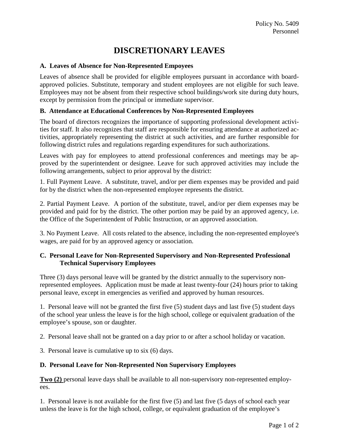# **DISCRETIONARY LEAVES**

## **A. Leaves of Absence for Non-Represented Empoyees**

Leaves of absence shall be provided for eligible employees pursuant in accordance with boardapproved policies. Substitute, temporary and student employees are not eligible for such leave. Employees may not be absent from their respective school buildings/work site during duty hours, except by permission from the principal or immediate supervisor.

## **B. Attendance at Educational Conferences by Non-Represented Employees**

The board of directors recognizes the importance of supporting professional development activities for staff. It also recognizes that staff are responsible for ensuring attendance at authorized activities, appropriately representing the district at such activities, and are further responsible for following district rules and regulations regarding expenditures for such authorizations.

Leaves with pay for employees to attend professional conferences and meetings may be approved by the superintendent or designee. Leave for such approved activities may include the following arrangements, subject to prior approval by the district:

1. Full Payment Leave. A substitute, travel, and/or per diem expenses may be provided and paid for by the district when the non-represented employee represents the district.

2. Partial Payment Leave. A portion of the substitute, travel, and/or per diem expenses may be provided and paid for by the district. The other portion may be paid by an approved agency, i.e. the Office of the Superintendent of Public Instruction, or an approved association.

3. No Payment Leave. All costs related to the absence, including the non-represented employee's wages, are paid for by an approved agency or association.

#### **C. Personal Leave for Non-Represented Supervisory and Non-Represented Professional Technical Supervisory Employees**

Three (3) days personal leave will be granted by the district annually to the supervisory nonrepresented employees. Application must be made at least twenty-four (24) hours prior to taking personal leave, except in emergencies as verified and approved by human resources.

1. Personal leave will not be granted the first five (5) student days and last five (5) student days of the school year unless the leave is for the high school, college or equivalent graduation of the employee's spouse, son or daughter.

2. Personal leave shall not be granted on a day prior to or after a school holiday or vacation.

3. Personal leave is cumulative up to six (6) days.

#### **D. Personal Leave for Non-Represented Non Supervisory Employees**

**Two** (2) personal leave days shall be available to all non-supervisory non-represented employees.

1. Personal leave is not available for the first five (5) and last five (5 days of school each year unless the leave is for the high school, college, or equivalent graduation of the employee's